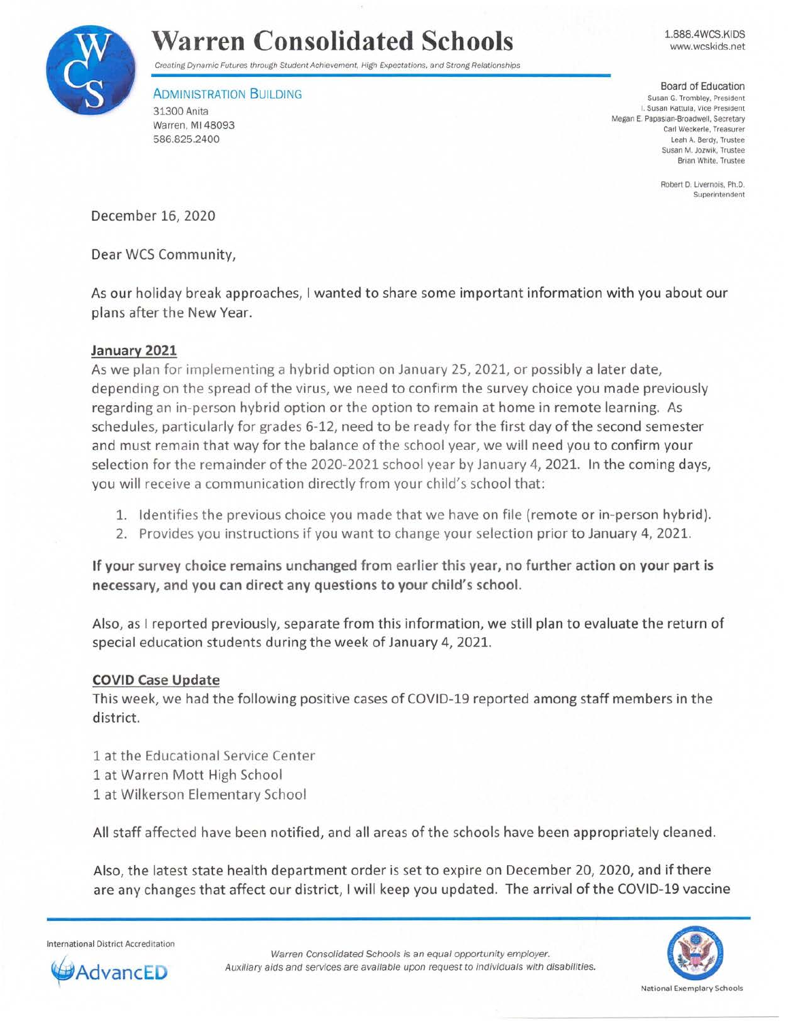

# **Warren Consolidated Schools**

Creating Dynamic Futures through Student Achievement, High Expectations, and Strong Relationships

**ADMINISTRATION BUILDING** 31300 Anita Warren, Ml 48093 586.825.2400

1.888.4WCS.KIDS www.wcskids.net

Board of Education Susan G. Trombley. President I. Susan Kattula, Vice President Megan E. Papasian-Broadwell, Secretary Carl Weckerle, Treasurer Leah A. Berdy. Trustee Susan M. Jozwik, Trustee Brian White. Trustee

> Robert D. Livernois. Ph.D. Superintendent

December 16, 2020

Dear WCS Community,

As our holiday break approaches, I wanted to share some important information with you about our plans after the New Year.

### **January 2021**

As we plan for implementing a hybrid option on January 25, 2021, or possibly a later date, depending on the spread of the virus, we need to confirm the survey choice you made previously regarding an in-person hybrid option or the option to remain at home in remote learning. As schedules, particularly for grades 6-12, need to be ready for the first day of the second semester and must remain that way for the balance of the school year, we will need you to confirm your selection for the remainder of the 2020-2021 school year by January 4, 2021. In the coming days, you will receive a communication directly from your child's school that:

- 1. Identifies the previous choice you made that we have on file (remote or in-person hybrid).
- 2. Provides you instructions if you want to change your selection prior to January 4, 2021.

**If your survey choice remains unchanged from earlier this year, no further action on your part is necessary, and you can direct any questions to your child's school.** 

Also, as I reported previously, separate from this information, we still plan to evaluate the return of special education students during the week of January 4, 2021.

#### **COVID Case Update**

This week, we had the following positive cases of COVID-19 reported among staff members in the district.

1 at the Educational Service Center 1 at Warren Mott High School 1 at Wilkerson Elementary School

All staff affected have been notified, and all areas of the schools have been appropriately cleaned .

Also, the latest state health department order is set to expire on December 20, 2020, and if there are any changes that affect our district, I will keep you updated. The arrival of the COVID-19 vaccine

International District Accreditation



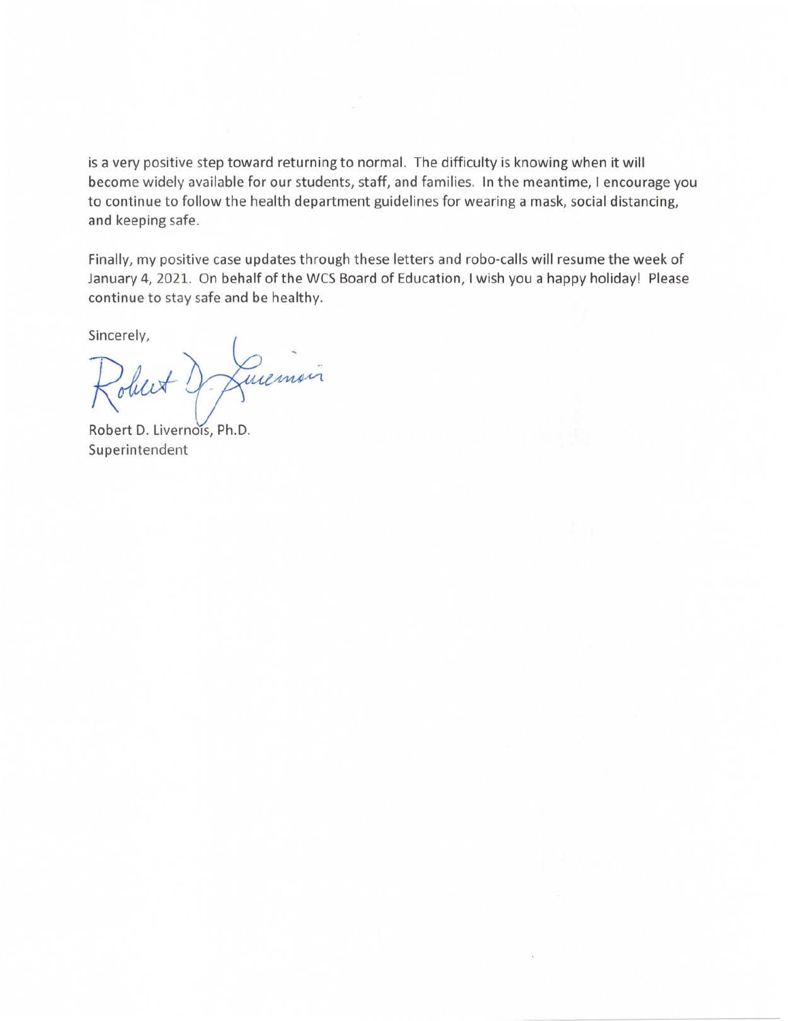is a very positive step toward returning to normal. The difficulty is knowing when it will become widely available for our students, staff, and families. In the meantime, I encourage you to continue to follow the health department guidelines for wearing a mask, social distancing, and keeping safe.

Finally, my positive case updates through these letters and robo-calls will resume the week of January 4, 2021. On behalf of the WCS Board of Education, I wish you a happy holiday! Please continue to stay safe and be healthy.

Sincerely,

Lumois Robert ?

Robert D. Livernois, Ph.D. Superintendent